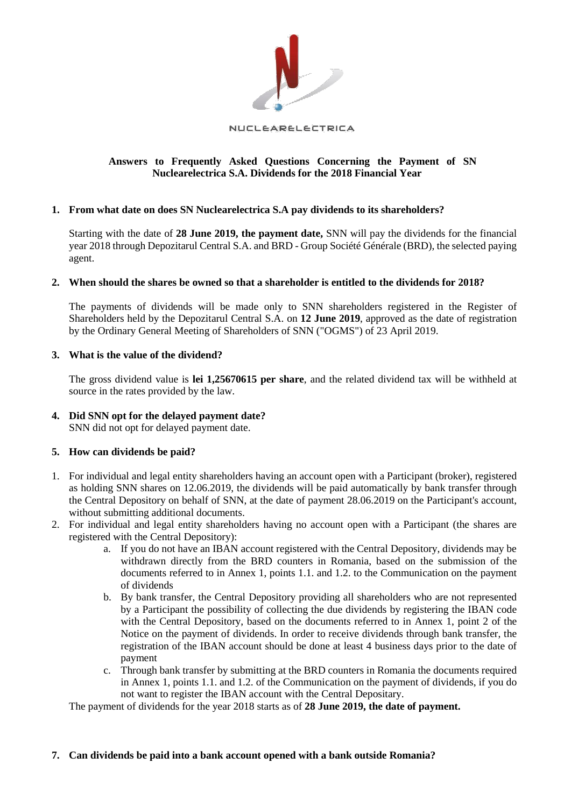

#### NUCLEARELECTRICA

# **Answers to Frequently Asked Questions Concerning the Payment of SN Nuclearelectrica S.A. Dividends for the 2018 Financial Year**

#### **1. From what date on does SN Nuclearelectrica S.A pay dividends to its shareholders?**

Starting with the date of **28 June 2019, the payment date,** SNN will pay the dividends for the financial year 2018 through Depozitarul Central S.A. and BRD - Group Société Générale (BRD), the selected paying agent.

#### **2. When should the shares be owned so that a shareholder is entitled to the dividends for 2018?**

The payments of dividends will be made only to SNN shareholders registered in the Register of Shareholders held by the Depozitarul Central S.A. on **12 June 2019**, approved as the date of registration by the Ordinary General Meeting of Shareholders of SNN ("OGMS") of 23 April 2019.

#### **3. What is the value of the dividend?**

The gross dividend value is **lei 1,25670615 per share**, and the related dividend tax will be withheld at source in the rates provided by the law.

# **4. Did SNN opt for the delayed payment date?**

SNN did not opt for delayed payment date.

# **5. How can dividends be paid?**

- 1. For individual and legal entity shareholders having an account open with a Participant (broker), registered as holding SNN shares on 12.06.2019, the dividends will be paid automatically by bank transfer through the Central Depository on behalf of SNN, at the date of payment 28.06.2019 on the Participant's account, without submitting additional documents.
- 2. For individual and legal entity shareholders having no account open with a Participant (the shares are registered with the Central Depository):
	- a. If you do not have an IBAN account registered with the Central Depository, dividends may be withdrawn directly from the BRD counters in Romania, based on the submission of the documents referred to in Annex 1, points 1.1. and 1.2. to the Communication on the payment of dividends
	- b. By bank transfer, the Central Depository providing all shareholders who are not represented by a Participant the possibility of collecting the due dividends by registering the IBAN code with the Central Depository, based on the documents referred to in Annex 1, point 2 of the Notice on the payment of dividends. In order to receive dividends through bank transfer, the registration of the IBAN account should be done at least 4 business days prior to the date of payment
	- c. Through bank transfer by submitting at the BRD counters in Romania the documents required in Annex 1, points 1.1. and 1.2. of the Communication on the payment of dividends, if you do not want to register the IBAN account with the Central Depositary.

The payment of dividends for the year 2018 starts as of **28 June 2019, the date of payment.** 

#### **7. Can dividends be paid into a bank account opened with a bank outside Romania?**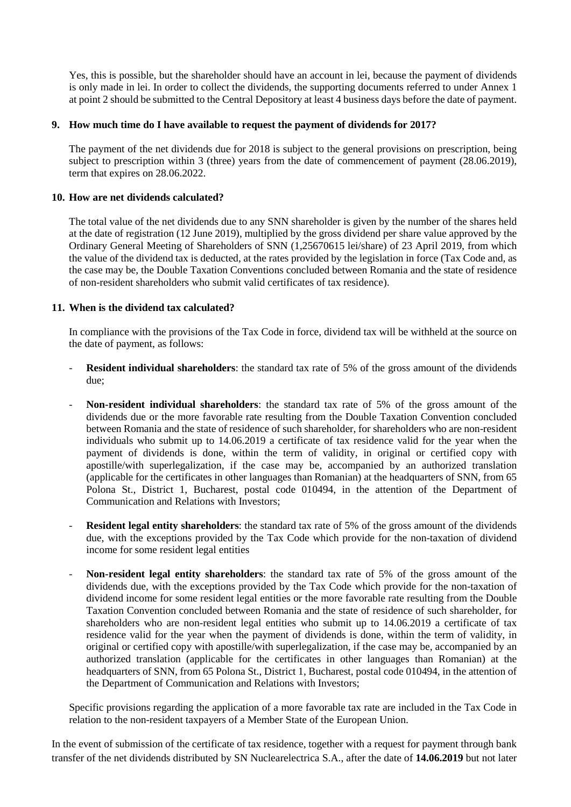Yes, this is possible, but the shareholder should have an account in lei, because the payment of dividends is only made in lei. In order to collect the dividends, the supporting documents referred to under Annex 1 at point 2 should be submitted to the Central Depository at least 4 business days before the date of payment.

### **9. How much time do I have available to request the payment of dividends for 2017?**

The payment of the net dividends due for 2018 is subject to the general provisions on prescription, being subject to prescription within 3 (three) years from the date of commencement of payment (28.06.2019), term that expires on 28.06.2022.

### **10. How are net dividends calculated?**

The total value of the net dividends due to any SNN shareholder is given by the number of the shares held at the date of registration (12 June 2019), multiplied by the gross dividend per share value approved by the Ordinary General Meeting of Shareholders of SNN (1,25670615 lei/share) of 23 April 2019, from which the value of the dividend tax is deducted, at the rates provided by the legislation in force (Tax Code and, as the case may be, the Double Taxation Conventions concluded between Romania and the state of residence of non-resident shareholders who submit valid certificates of tax residence).

# **11. When is the dividend tax calculated?**

In compliance with the provisions of the Tax Code in force, dividend tax will be withheld at the source on the date of payment, as follows:

- **Resident individual shareholders**: the standard tax rate of 5% of the gross amount of the dividends due;
- **Non-resident individual shareholders**: the standard tax rate of 5% of the gross amount of the dividends due or the more favorable rate resulting from the Double Taxation Convention concluded between Romania and the state of residence of such shareholder, for shareholders who are non-resident individuals who submit up to 14.06.2019 a certificate of tax residence valid for the year when the payment of dividends is done, within the term of validity, in original or certified copy with apostille/with superlegalization, if the case may be, accompanied by an authorized translation (applicable for the certificates in other languages than Romanian) at the headquarters of SNN, from 65 Polona St., District 1, Bucharest, postal code 010494, in the attention of the Department of Communication and Relations with Investors;
- **Resident legal entity shareholders**: the standard tax rate of 5% of the gross amount of the dividends due, with the exceptions provided by the Tax Code which provide for the non-taxation of dividend income for some resident legal entities
- **Non-resident legal entity shareholders**: the standard tax rate of 5% of the gross amount of the dividends due, with the exceptions provided by the Tax Code which provide for the non-taxation of dividend income for some resident legal entities or the more favorable rate resulting from the Double Taxation Convention concluded between Romania and the state of residence of such shareholder, for shareholders who are non-resident legal entities who submit up to 14.06.2019 a certificate of tax residence valid for the year when the payment of dividends is done, within the term of validity, in original or certified copy with apostille/with superlegalization, if the case may be, accompanied by an authorized translation (applicable for the certificates in other languages than Romanian) at the headquarters of SNN, from 65 Polona St., District 1, Bucharest, postal code 010494, in the attention of the Department of Communication and Relations with Investors;

Specific provisions regarding the application of a more favorable tax rate are included in the Tax Code in relation to the non-resident taxpayers of a Member State of the European Union.

In the event of submission of the certificate of tax residence, together with a request for payment through bank transfer of the net dividends distributed by SN Nuclearelectrica S.A., after the date of **14.06.2019** but not later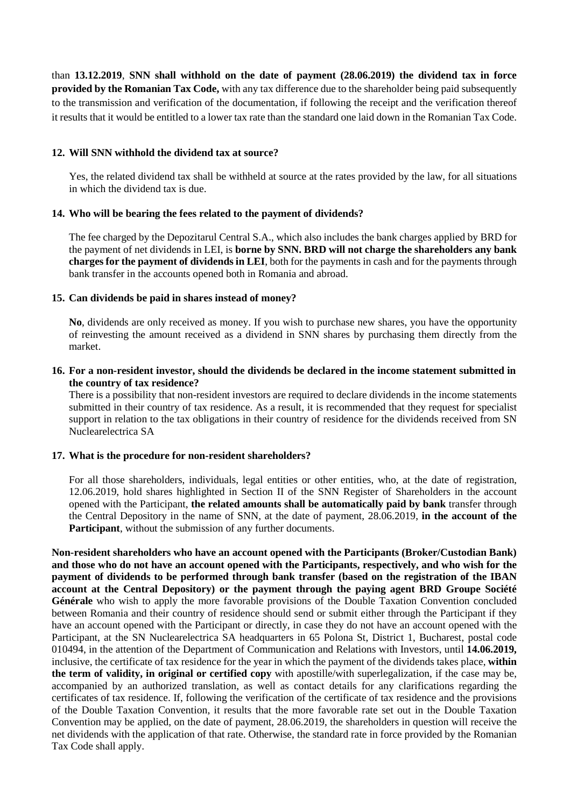than **13.12.2019**, **SNN shall withhold on the date of payment (28.06.2019) the dividend tax in force provided by the Romanian Tax Code,** with any tax difference due to the shareholder being paid subsequently to the transmission and verification of the documentation, if following the receipt and the verification thereof it results that it would be entitled to a lower tax rate than the standard one laid down in the Romanian Tax Code.

### **12. Will SNN withhold the dividend tax at source?**

Yes, the related dividend tax shall be withheld at source at the rates provided by the law, for all situations in which the dividend tax is due.

# **14. Who will be bearing the fees related to the payment of dividends?**

The fee charged by the Depozitarul Central S.A., which also includes the bank charges applied by BRD for the payment of net dividends in LEI, is **borne by SNN. BRD will not charge the shareholders any bank charges for the payment of dividends in LEI**, both for the payments in cash and for the payments through bank transfer in the accounts opened both in Romania and abroad.

# **15. Can dividends be paid in shares instead of money?**

**No**, dividends are only received as money. If you wish to purchase new shares, you have the opportunity of reinvesting the amount received as a dividend in SNN shares by purchasing them directly from the market.

### **16. For a non-resident investor, should the dividends be declared in the income statement submitted in the country of tax residence?**

There is a possibility that non-resident investors are required to declare dividends in the income statements submitted in their country of tax residence. As a result, it is recommended that they request for specialist support in relation to the tax obligations in their country of residence for the dividends received from SN Nuclearelectrica SA

#### **17. What is the procedure for non-resident shareholders?**

For all those shareholders, individuals, legal entities or other entities, who, at the date of registration, 12.06.2019, hold shares highlighted in Section II of the SNN Register of Shareholders in the account opened with the Participant, **the related amounts shall be automatically paid by bank** transfer through the Central Depository in the name of SNN, at the date of payment, 28.06.2019, **in the account of the Participant**, without the submission of any further documents.

**Non-resident shareholders who have an account opened with the Participants (Broker/Custodian Bank) and those who do not have an account opened with the Participants, respectively, and who wish for the payment of dividends to be performed through bank transfer (based on the registration of the IBAN account at the Central Depository) or the payment through the paying agent BRD Groupe Société Générale** who wish to apply the more favorable provisions of the Double Taxation Convention concluded between Romania and their country of residence should send or submit either through the Participant if they have an account opened with the Participant or directly, in case they do not have an account opened with the Participant, at the SN Nuclearelectrica SA headquarters in 65 Polona St, District 1, Bucharest, postal code 010494, in the attention of the Department of Communication and Relations with Investors, until **14.06.2019,** inclusive, the certificate of tax residence for the year in which the payment of the dividends takes place, **within the term of validity, in original or certified copy** with apostille/with superlegalization, if the case may be, accompanied by an authorized translation, as well as contact details for any clarifications regarding the certificates of tax residence. If, following the verification of the certificate of tax residence and the provisions of the Double Taxation Convention, it results that the more favorable rate set out in the Double Taxation Convention may be applied, on the date of payment, 28.06.2019, the shareholders in question will receive the net dividends with the application of that rate. Otherwise, the standard rate in force provided by the Romanian Tax Code shall apply.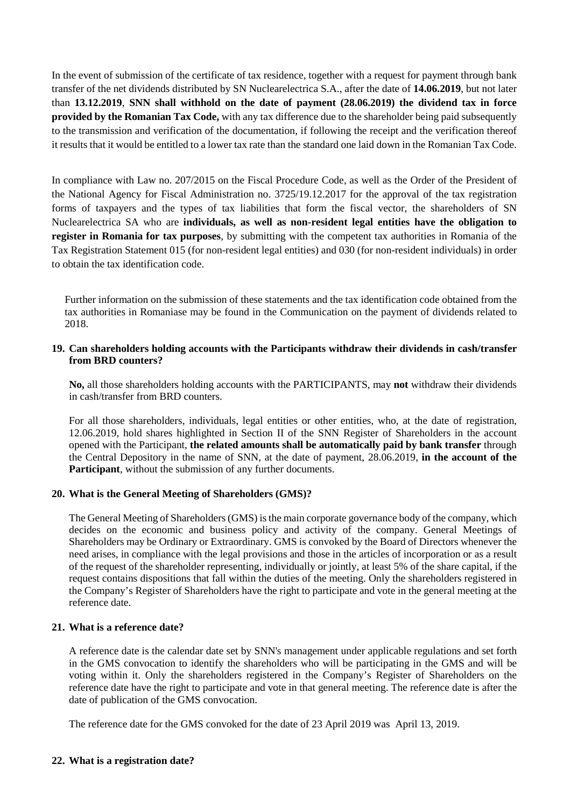In the event of submission of the certificate of tax residence, together with a request for payment through bank transfer of the net dividends distributed by SN Nuclearelectrica S.A., after the date of **14.06.2019**, but not later than **13.12.2019**, **SNN shall withhold on the date of payment (28.06.2019) the dividend tax in force provided by the Romanian Tax Code,** with any tax difference due to the shareholder being paid subsequently to the transmission and verification of the documentation, if following the receipt and the verification thereof it results that it would be entitled to a lower tax rate than the standard one laid down in the Romanian Tax Code.

In compliance with Law no. 207/2015 on the Fiscal Procedure Code, as well as the Order of the President of the National Agency for Fiscal Administration no. 3725/19.12.2017 for the approval of the tax registration forms of taxpayers and the types of tax liabilities that form the fiscal vector, the shareholders of SN Nuclearelectrica SA who are **individuals, as well as non-resident legal entities have the obligation to register in Romania for tax purposes**, by submitting with the competent tax authorities in Romania of the Tax Registration Statement 015 (for non-resident legal entities) and 030 (for non-resident individuals) in order to obtain the tax identification code.

Further information on the submission of these statements and the tax identification code obtained from the tax authorities in Romaniase may be found in the Communication on the payment of dividends related to 2018.

#### **19. Can shareholders holding accounts with the Participants withdraw their dividends in cash/transfer from BRD counters?**

**No,** all those shareholders holding accounts with the PARTICIPANTS, may **not** withdraw their dividends in cash/transfer from BRD counters.

For all those shareholders, individuals, legal entities or other entities, who, at the date of registration, 12.06.2019, hold shares highlighted in Section II of the SNN Register of Shareholders in the account opened with the Participant, **the related amounts shall be automatically paid by bank transfer** through the Central Depository in the name of SNN, at the date of payment, 28.06.2019, **in the account of the Participant**, without the submission of any further documents.

#### **20. What is the General Meeting of Shareholders (GMS)?**

The General Meeting of Shareholders (GMS) is the main corporate governance body of the company, which decides on the economic and business policy and activity of the company. General Meetings of Shareholders may be Ordinary or Extraordinary. GMS is convoked by the Board of Directors whenever the need arises, in compliance with the legal provisions and those in the articles of incorporation or as a result of the request of the shareholder representing, individually or jointly, at least 5% of the share capital, if the request contains dispositions that fall within the duties of the meeting. Only the shareholders registered in the Company's Register of Shareholders have the right to participate and vote in the general meeting at the reference date.

### **21. What is a reference date?**

A reference date is the calendar date set by SNN's management under applicable regulations and set forth in the GMS convocation to identify the shareholders who will be participating in the GMS and will be voting within it. Only the shareholders registered in the Company's Register of Shareholders on the reference date have the right to participate and vote in that general meeting. The reference date is after the date of publication of the GMS convocation.

The reference date for the GMS convoked for the date of 23 April 2019 was April 13, 2019.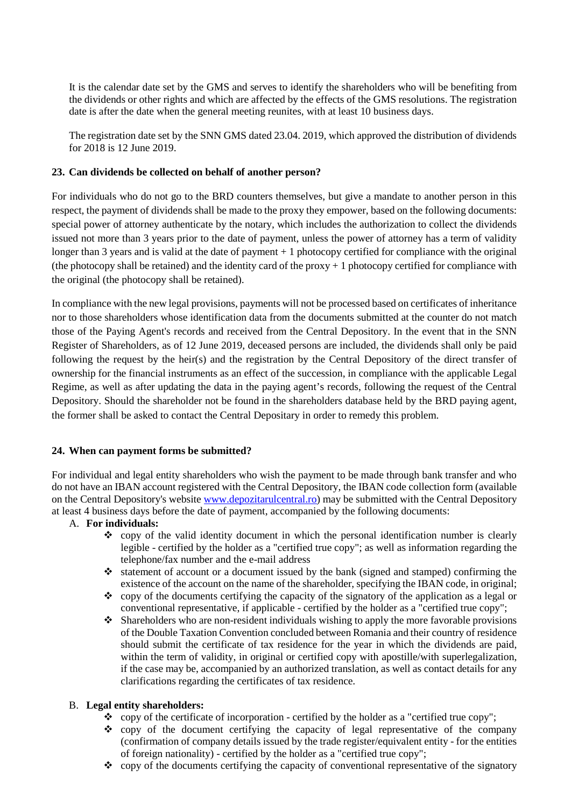It is the calendar date set by the GMS and serves to identify the shareholders who will be benefiting from the dividends or other rights and which are affected by the effects of the GMS resolutions. The registration date is after the date when the general meeting reunites, with at least 10 business days.

The registration date set by the SNN GMS dated 23.04. 2019, which approved the distribution of dividends for 2018 is 12 June 2019.

# **23. Can dividends be collected on behalf of another person?**

For individuals who do not go to the BRD counters themselves, but give a mandate to another person in this respect, the payment of dividends shall be made to the proxy they empower, based on the following documents: special power of attorney authenticate by the notary, which includes the authorization to collect the dividends issued not more than 3 years prior to the date of payment, unless the power of attorney has a term of validity longer than 3 years and is valid at the date of payment + 1 photocopy certified for compliance with the original (the photocopy shall be retained) and the identity card of the proxy  $+1$  photocopy certified for compliance with the original (the photocopy shall be retained).

In compliance with the new legal provisions, payments will not be processed based on certificates of inheritance nor to those shareholders whose identification data from the documents submitted at the counter do not match those of the Paying Agent's records and received from the Central Depository. In the event that in the SNN Register of Shareholders, as of 12 June 2019, deceased persons are included, the dividends shall only be paid following the request by the heir(s) and the registration by the Central Depository of the direct transfer of ownership for the financial instruments as an effect of the succession, in compliance with the applicable Legal Regime, as well as after updating the data in the paying agent's records, following the request of the Central Depository. Should the shareholder not be found in the shareholders database held by the BRD paying agent, the former shall be asked to contact the Central Depositary in order to remedy this problem.

#### **24. When can payment forms be submitted?**

For individual and legal entity shareholders who wish the payment to be made through bank transfer and who do not have an IBAN account registered with the Central Depository, the IBAN code collection form (available on the Central Depository's website [www.depozitarulcentral.ro\)](http://www.depozitarulcentral.ro/) may be submitted with the Central Depository at least 4 business days before the date of payment, accompanied by the following documents:

#### A. **For individuals:**

- $\diamond$  copy of the valid identity document in which the personal identification number is clearly legible - certified by the holder as a "certified true copy"; as well as information regarding the telephone/fax number and the e-mail address
- $\cdot$  statement of account or a document issued by the bank (signed and stamped) confirming the existence of the account on the name of the shareholder, specifying the IBAN code, in original;
- $\bullet$  copy of the documents certifying the capacity of the signatory of the application as a legal or conventional representative, if applicable - certified by the holder as a "certified true copy";
- Shareholders who are non-resident individuals wishing to apply the more favorable provisions of the Double Taxation Convention concluded between Romania and their country of residence should submit the certificate of tax residence for the year in which the dividends are paid, within the term of validity, in original or certified copy with apostille/with superlegalization, if the case may be, accompanied by an authorized translation, as well as contact details for any clarifications regarding the certificates of tax residence.

#### B. **Legal entity shareholders:**

- \* copy of the certificate of incorporation certified by the holder as a "certified true copy";
- $\bullet$  copy of the document certifying the capacity of legal representative of the company (confirmation of company details issued by the trade register/equivalent entity - for the entities of foreign nationality) - certified by the holder as a "certified true copy";
- $\bullet$  copy of the documents certifying the capacity of conventional representative of the signatory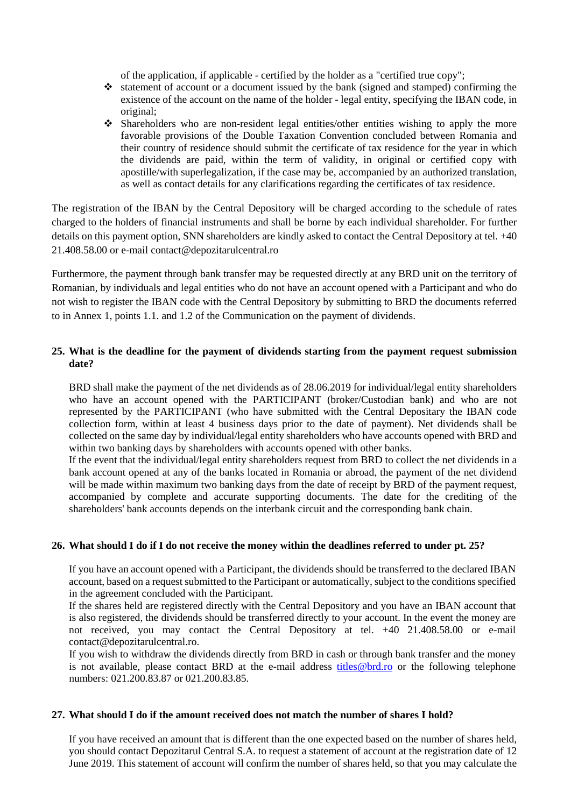of the application, if applicable - certified by the holder as a "certified true copy";

- statement of account or a document issued by the bank (signed and stamped) confirming the existence of the account on the name of the holder - legal entity, specifying the IBAN code, in original;
- Shareholders who are non-resident legal entities/other entities wishing to apply the more favorable provisions of the Double Taxation Convention concluded between Romania and their country of residence should submit the certificate of tax residence for the year in which the dividends are paid, within the term of validity, in original or certified copy with apostille/with superlegalization, if the case may be, accompanied by an authorized translation, as well as contact details for any clarifications regarding the certificates of tax residence.

The registration of the IBAN by the Central Depository will be charged according to the schedule of rates charged to the holders of financial instruments and shall be borne by each individual shareholder. For further details on this payment option, SNN shareholders are kindly asked to contact the Central Depository at tel. +40 21.408.58.00 or e-mail contact@depozitarulcentral.ro

Furthermore, the payment through bank transfer may be requested directly at any BRD unit on the territory of Romanian, by individuals and legal entities who do not have an account opened with a Participant and who do not wish to register the IBAN code with the Central Depository by submitting to BRD the documents referred to in Annex 1, points 1.1. and 1.2 of the Communication on the payment of dividends.

# **25. What is the deadline for the payment of dividends starting from the payment request submission date?**

BRD shall make the payment of the net dividends as of 28.06.2019 for individual/legal entity shareholders who have an account opened with the PARTICIPANT (broker/Custodian bank) and who are not represented by the PARTICIPANT (who have submitted with the Central Depositary the IBAN code collection form, within at least 4 business days prior to the date of payment). Net dividends shall be collected on the same day by individual/legal entity shareholders who have accounts opened with BRD and within two banking days by shareholders with accounts opened with other banks.

If the event that the individual/legal entity shareholders request from BRD to collect the net dividends in a bank account opened at any of the banks located in Romania or abroad, the payment of the net dividend will be made within maximum two banking days from the date of receipt by BRD of the payment request, accompanied by complete and accurate supporting documents. The date for the crediting of the shareholders' bank accounts depends on the interbank circuit and the corresponding bank chain.

#### **26. What should I do if I do not receive the money within the deadlines referred to under pt. 25?**

If you have an account opened with a Participant, the dividends should be transferred to the declared IBAN account, based on a request submitted to the Participant or automatically, subject to the conditions specified in the agreement concluded with the Participant.

If the shares held are registered directly with the Central Depository and you have an IBAN account that is also registered, the dividends should be transferred directly to your account. In the event the money are not received, you may contact the Central Depository at tel. +40 21.408.58.00 or e-mail contact@depozitarulcentral.ro.

If you wish to withdraw the dividends directly from BRD in cash or through bank transfer and the money is not available, please contact BRD at the e-mail address titles@brd.ro or the following telephone numbers: 021.200.83.87 or 021.200.83.85.

#### **27. What should I do if the amount received does not match the number of shares I hold?**

If you have received an amount that is different than the one expected based on the number of shares held, you should contact Depozitarul Central S.A. to request a statement of account at the registration date of 12 June 2019. This statement of account will confirm the number of shares held, so that you may calculate the